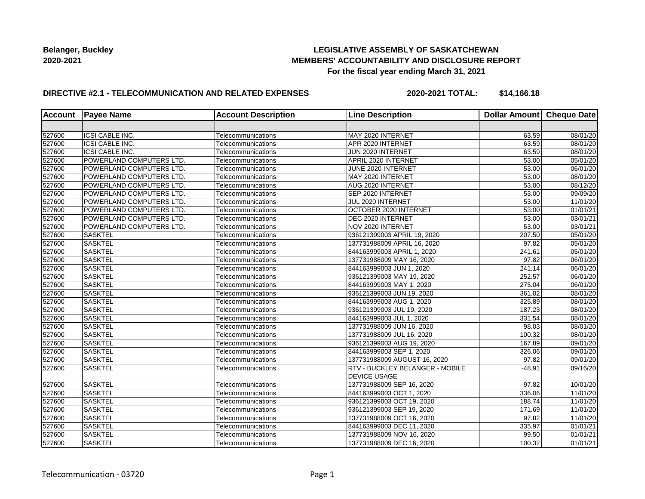## **LEGISLATIVE ASSEMBLY OF SASKATCHEWAN MEMBERS' ACCOUNTABILITY AND DISCLOSURE REPORT For the fiscal year ending March 31, 2021**

## **DIRECTIVE #2.1 - TELECOMMUNICATION AND RELATED EXPENSES**

**2020-2021 TOTAL: \$14,166.18**

| <b>Account</b> | <b>Payee Name</b>               | <b>Account Description</b> | <b>Line Description</b>                | Dollar Amount   Cheque Date |                       |
|----------------|---------------------------------|----------------------------|----------------------------------------|-----------------------------|-----------------------|
|                |                                 |                            |                                        |                             |                       |
| 527600         | ICSI CABLE INC.                 | Telecommunications         | MAY 2020 INTERNET                      | 63.59                       | 08/01/20              |
| 527600         | ICSI CABLE INC.                 | Telecommunications         | APR 2020 INTERNET                      | 63.59                       | 08/01/20              |
| 527600         | ICSI CABLE INC.                 | Telecommunications         | JUN 2020 INTERNET                      | 63.59                       | 08/01/20              |
| 527600         | POWERLAND COMPUTERS LTD.        | Telecommunications         | APRIL 2020 INTERNET                    | 53.00                       | $\overline{05}/01/20$ |
| 527600         | POWERLAND COMPUTERS LTD.        | Telecommunications         | JUNE 2020 INTERNET                     | 53.00                       | 06/01/20              |
| 527600         | <b>POWERLAND COMPUTERS LTD.</b> | Telecommunications         | MAY 2020 INTERNET                      | 53.00                       | 08/01/20              |
| 527600         | POWERLAND COMPUTERS LTD.        | Telecommunications         | <b>AUG 2020 INTERNET</b>               | 53.00                       | 08/12/20              |
| 527600         | <b>POWERLAND COMPUTERS LTD.</b> | Telecommunications         | SEP 2020 INTERNET                      | 53.00                       | 09/09/20              |
| 527600         | POWERLAND COMPUTERS LTD.        | Telecommunications         | JUL 2020 INTERNET                      | 53.00                       | 11/01/20              |
| 527600         | POWERLAND COMPUTERS LTD.        | Telecommunications         | OCTOBER 2020 INTERNET                  | 53.00                       | 01/01/21              |
| 527600         | POWERLAND COMPUTERS LTD.        | Telecommunications         | DEC 2020 INTERNET                      | 53.00                       | 03/01/21              |
| 527600         | POWERLAND COMPUTERS LTD.        | Telecommunications         | NOV 2020 INTERNET                      | 53.00                       | 03/01/21              |
| 527600         | <b>SASKTEL</b>                  | Telecommunications         | 936121399003 APRIL 19, 2020            | 207.50                      | 05/01/20              |
| 527600         | <b>SASKTEL</b>                  | Telecommunications         | 137731988009 APRIL 16, 2020            | 97.82                       | 05/01/20              |
| 527600         | <b>SASKTEL</b>                  | Telecommunications         | 844163999003 APRIL 1, 2020             | 241.61                      | 05/01/20              |
| 527600         | SASKTEL                         | Telecommunications         | 137731988009 MAY 16, 2020              | 97.82                       | 06/01/20              |
| 527600         | SASKTEL                         | Telecommunications         | 844163999003 JUN 1, 2020               | 241.14                      | 06/01/20              |
| 527600         | <b>SASKTEL</b>                  | Telecommunications         | 936121399003 MAY 19, 2020              | 252.57                      | 06/01/20              |
| 527600         | <b>SASKTEL</b>                  | Telecommunications         | 844163999003 MAY 1, 2020               | 275.04                      | 06/01/20              |
| 527600         | <b>SASKTEL</b>                  | Telecommunications         | 936121399003 JUN 19, 2020              | 361.02                      | 08/01/20              |
| 527600         | <b>SASKTEL</b>                  | Telecommunications         | 844163999003 AUG 1, 2020               | 325.89                      | 08/01/20              |
| 527600         | SASKTEL                         | Telecommunications         | 936121399003 JUL 19, 2020              | 187.23                      | 08/01/20              |
| 527600         | <b>SASKTEL</b>                  | Telecommunications         | 844163999003 JUL 1, 2020               | 331.54                      | $\overline{08}/01/20$ |
| 527600         | <b>SASKTEL</b>                  | Telecommunications         | 137731988009 JUN 16, 2020              | 98.03                       | $\overline{08}/01/20$ |
| 527600         | <b>SASKTEL</b>                  | Telecommunications         | 137731988009 JUL 16, 2020              | 100.32                      | 08/01/20              |
| 527600         | <b>SASKTEL</b>                  | Telecommunications         | 936121399003 AUG 19, 2020              | 167.89                      | 09/01/20              |
| 527600         | <b>SASKTEL</b>                  | Telecommunications         | 844163999003 SEP 1, 2020               | 326.06                      | 09/01/20              |
| 527600         | <b>SASKTEL</b>                  | Telecommunications         | 137731988009 AUGUST 16, 2020           | 97.82                       | 09/01/20              |
| 527600         | <b>SASKTEL</b>                  | Telecommunications         | <b>RTV - BUCKLEY BELANGER - MOBILE</b> | $-48.91$                    | 09/16/20              |
|                |                                 |                            | <b>DEVICE USAGE</b>                    |                             |                       |
| 527600         | SASKTEL                         | Telecommunications         | 137731988009 SEP 16, 2020              | 97.82                       | 10/01/20              |
| 527600         | <b>SASKTEL</b>                  | Telecommunications         | 844163999003 OCT 1, 2020               | 336.06                      | 11/01/20              |
| 527600         | <b>SASKTEL</b>                  | Telecommunications         | 936121399003 OCT 19, 2020              | 188.74                      | 11/01/20              |
| 527600         | <b>SASKTEL</b>                  | Telecommunications         | 936121399003 SEP 19, 2020              | 171.69                      | 11/01/20              |
| 527600         | <b>SASKTEL</b>                  | Telecommunications         | 137731988009 OCT 16, 2020              | 97.82                       | 11/01/20              |
| 527600         | <b>SASKTEL</b>                  | Telecommunications         | 844163999003 DEC 11, 2020              | 335.97                      | 01/01/21              |
| 527600         | SASKTEL                         | Telecommunications         | 137731988009 NOV 16, 2020              | 99.50                       | 01/01/21              |
| 527600         | <b>SASKTEL</b>                  | Telecommunications         | 137731988009 DEC 16, 2020              | 100.32                      | 01/01/21              |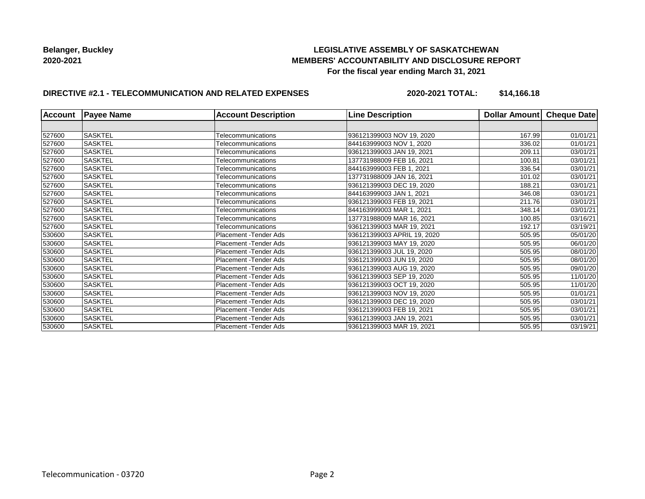## **LEGISLATIVE ASSEMBLY OF SASKATCHEWAN MEMBERS' ACCOUNTABILITY AND DISCLOSURE REPORT For the fiscal year ending March 31, 2021**

## **DIRECTIVE #2.1 - TELECOMMUNICATION AND RELATED EXPENSES**

**2020-2021 TOTAL: \$14,166.18**

| <b>Account</b> | <b>Payee Name</b> | <b>Account Description</b> | <b>Line Description</b>     | Dollar Amount Cheque Date |          |
|----------------|-------------------|----------------------------|-----------------------------|---------------------------|----------|
|                |                   |                            |                             |                           |          |
| 527600         | <b>SASKTEL</b>    | Telecommunications         | 936121399003 NOV 19, 2020   | 167.99                    | 01/01/21 |
| 527600         | <b>SASKTEL</b>    | Telecommunications         | 844163999003 NOV 1, 2020    | 336.02                    | 01/01/21 |
| 527600         | <b>SASKTEL</b>    | Telecommunications         | 936121399003 JAN 19, 2021   | 209.11                    | 03/01/21 |
| 527600         | <b>SASKTEL</b>    | Telecommunications         | 137731988009 FEB 16, 2021   | 100.81                    | 03/01/21 |
| 527600         | <b>SASKTEL</b>    | Telecommunications         | 844163999003 FEB 1, 2021    | 336.54                    | 03/01/21 |
| 527600         | <b>SASKTEL</b>    | Telecommunications         | 137731988009 JAN 16, 2021   | 101.02                    | 03/01/21 |
| 527600         | <b>SASKTEL</b>    | Telecommunications         | 936121399003 DEC 19, 2020   | 188.21                    | 03/01/21 |
| 527600         | <b>SASKTEL</b>    | Telecommunications         | 844163999003 JAN 1, 2021    | 346.08                    | 03/01/21 |
| 527600         | <b>SASKTEL</b>    | Telecommunications         | 936121399003 FEB 19, 2021   | 211.76                    | 03/01/21 |
| 527600         | <b>SASKTEL</b>    | Telecommunications         | 844163999003 MAR 1, 2021    | 348.14                    | 03/01/21 |
| 527600         | <b>SASKTEL</b>    | Telecommunications         | 137731988009 MAR 16, 2021   | 100.85                    | 03/16/21 |
| 527600         | <b>SASKTEL</b>    | Telecommunications         | 936121399003 MAR 19, 2021   | 192.17                    | 03/19/21 |
| 530600         | <b>SASKTEL</b>    | Placement - Tender Ads     | 936121399003 APRIL 19, 2020 | 505.95                    | 05/01/20 |
| 530600         | <b>SASKTEL</b>    | Placement - Tender Ads     | 936121399003 MAY 19, 2020   | 505.95                    | 06/01/20 |
| 530600         | <b>SASKTEL</b>    | Placement - Tender Ads     | 936121399003 JUL 19, 2020   | 505.95                    | 08/01/20 |
| 530600         | <b>SASKTEL</b>    | Placement - Tender Ads     | 936121399003 JUN 19, 2020   | 505.95                    | 08/01/20 |
| 530600         | <b>SASKTEL</b>    | Placement - Tender Ads     | 936121399003 AUG 19, 2020   | 505.95                    | 09/01/20 |
| 530600         | <b>SASKTEL</b>    | Placement - Tender Ads     | 936121399003 SEP 19, 2020   | 505.95                    | 11/01/20 |
| 530600         | <b>SASKTEL</b>    | Placement - Tender Ads     | 936121399003 OCT 19, 2020   | 505.95                    | 11/01/20 |
| 530600         | <b>SASKTEL</b>    | Placement - Tender Ads     | 936121399003 NOV 19, 2020   | 505.95                    | 01/01/21 |
| 530600         | <b>SASKTEL</b>    | Placement - Tender Ads     | 936121399003 DEC 19, 2020   | 505.95                    | 03/01/21 |
| 530600         | <b>SASKTEL</b>    | Placement - Tender Ads     | 936121399003 FEB 19, 2021   | 505.95                    | 03/01/21 |
| 530600         | <b>SASKTEL</b>    | Placement - Tender Ads     | 936121399003 JAN 19, 2021   | 505.95                    | 03/01/21 |
| 530600         | <b>SASKTEL</b>    | Placement - Tender Ads     | 936121399003 MAR 19, 2021   | 505.95                    | 03/19/21 |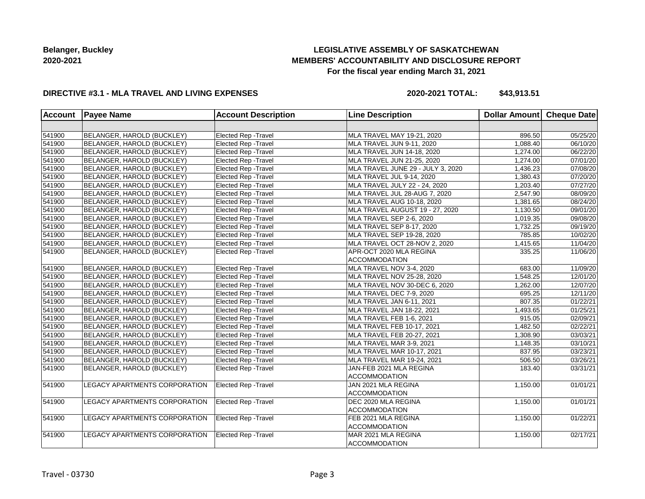# **LEGISLATIVE ASSEMBLY OF SASKATCHEWAN MEMBERS' ACCOUNTABILITY AND DISCLOSURE REPORT For the fiscal year ending March 31, 2021**

### **DIRECTIVE #3.1 - MLA TRAVEL AND LIVING EXPENSES**

**2020-2021 TOTAL: \$43,913.51**

| Account | <b>Payee Name</b>             | <b>Account Description</b>  | <b>Line Description</b>           | <b>Dollar Amount</b> | Cheque Date |
|---------|-------------------------------|-----------------------------|-----------------------------------|----------------------|-------------|
|         |                               |                             |                                   |                      |             |
| 541900  | BELANGER, HAROLD (BUCKLEY)    | Elected Rep - Travel        | MLA TRAVEL MAY 19-21, 2020        | 896.50               | 05/25/20    |
| 541900  | BELANGER, HAROLD (BUCKLEY)    | Elected Rep - Travel        | MLA TRAVEL JUN 9-11, 2020         | 1,088.40             | 06/10/20    |
| 541900  | BELANGER, HAROLD (BUCKLEY)    | <b>Elected Rep - Travel</b> | MLA TRAVEL JUN 14-18, 2020        | 1,274.00             | 06/22/20    |
| 541900  | BELANGER, HAROLD (BUCKLEY)    | <b>Elected Rep - Travel</b> | MLA TRAVEL JUN 21-25, 2020        | 1,274.00             | 07/01/20    |
| 541900  | BELANGER, HAROLD (BUCKLEY)    | <b>Elected Rep - Travel</b> | MLA TRAVEL JUNE 29 - JULY 3, 2020 | 1,436.23             | 07/08/20    |
| 541900  | BELANGER, HAROLD (BUCKLEY)    | Elected Rep - Travel        | MLA TRAVEL JUL 9-14, 2020         | 1,380.43             | 07/20/20    |
| 541900  | BELANGER, HAROLD (BUCKLEY)    | Elected Rep - Travel        | MLA TRAVEL JULY 22 - 24, 2020     | 1,203.40             | 07/27/20    |
| 541900  | BELANGER, HAROLD (BUCKLEY)    | Elected Rep - Travel        | MLA TRAVEL JUL 28-AUG 7, 2020     | 2,547.90             | 08/09/20    |
| 541900  | BELANGER, HAROLD (BUCKLEY)    | Elected Rep - Travel        | MLA TRAVEL AUG 10-18, 2020        | 1,381.65             | 08/24/20    |
| 541900  | BELANGER, HAROLD (BUCKLEY)    | Elected Rep - Travel        | MLA TRAVEL AUGUST 19 - 27, 2020   | 1,130.50             | 09/01/20    |
| 541900  | BELANGER, HAROLD (BUCKLEY)    | <b>Elected Rep - Travel</b> | MLA TRAVEL SEP 2-6, 2020          | 1,019.35             | 09/08/20    |
| 541900  | BELANGER, HAROLD (BUCKLEY)    | <b>Elected Rep - Travel</b> | MLA TRAVEL SEP 8-17, 2020         | 1,732.25             | 09/19/20    |
| 541900  | BELANGER, HAROLD (BUCKLEY)    | Elected Rep - Travel        | MLA TRAVEL SEP 19-28, 2020        | 785.85               | 10/02/20    |
| 541900  | BELANGER, HAROLD (BUCKLEY)    | <b>Elected Rep - Travel</b> | MLA TRAVEL OCT 28-NOV 2, 2020     | 1,415.65             | 11/04/20    |
| 541900  | BELANGER, HAROLD (BUCKLEY)    | <b>Elected Rep - Travel</b> | APR-OCT 2020 MLA REGINA           | 335.25               | 11/06/20    |
|         |                               |                             | <b>ACCOMMODATION</b>              |                      |             |
| 541900  | BELANGER, HAROLD (BUCKLEY)    | Elected Rep - Travel        | MLA TRAVEL NOV 3-4, 2020          | 683.00               | 11/09/20    |
| 541900  | BELANGER, HAROLD (BUCKLEY)    | Elected Rep - Travel        | MLA TRAVEL NOV 25-28, 2020        | 1,548.25             | 12/01/20    |
| 541900  | BELANGER, HAROLD (BUCKLEY)    | Elected Rep - Travel        | MLA TRAVEL NOV 30-DEC 6, 2020     | 1,262.00             | 12/07/20    |
| 541900  | BELANGER, HAROLD (BUCKLEY)    | Elected Rep - Travel        | MLA TRAVEL DEC 7-9, 2020          | 695.25               | 12/11/20    |
| 541900  | BELANGER, HAROLD (BUCKLEY)    | Elected Rep - Travel        | MLA TRAVEL JAN 6-11, 2021         | 807.35               | 01/22/21    |
| 541900  | BELANGER, HAROLD (BUCKLEY)    | <b>Elected Rep - Travel</b> | MLA TRAVEL JAN 18-22, 2021        | 1,493.65             | 01/25/21    |
| 541900  | BELANGER, HAROLD (BUCKLEY)    | Elected Rep - Travel        | MLA TRAVEL FEB 1-6, 2021          | 915.05               | 02/09/21    |
| 541900  | BELANGER, HAROLD (BUCKLEY)    | Elected Rep - Travel        | MLA TRAVEL FEB 10-17, 2021        | 1,482.50             | 02/22/21    |
| 541900  | BELANGER, HAROLD (BUCKLEY)    | <b>Elected Rep - Travel</b> | MLA TRAVEL FEB 20-27, 2021        | 1,308.90             | 03/03/21    |
| 541900  | BELANGER, HAROLD (BUCKLEY)    | Elected Rep - Travel        | MLA TRAVEL MAR 3-9, 2021          | 1,148.35             | 03/10/21    |
| 541900  | BELANGER, HAROLD (BUCKLEY)    | Elected Rep - Travel        | MLA TRAVEL MAR 10-17, 2021        | 837.95               | 03/23/21    |
| 541900  | BELANGER, HAROLD (BUCKLEY)    | Elected Rep - Travel        | MLA TRAVEL MAR 19-24, 2021        | 506.50               | 03/26/21    |
| 541900  | BELANGER, HAROLD (BUCKLEY)    | Elected Rep - Travel        | JAN-FEB 2021 MLA REGINA           | 183.40               | 03/31/21    |
|         |                               |                             | <b>ACCOMMODATION</b>              |                      |             |
| 541900  | LEGACY APARTMENTS CORPORATION | Elected Rep - Travel        | JAN 2021 MLA REGINA               | 1,150.00             | 01/01/21    |
|         |                               |                             | <b>ACCOMMODATION</b>              |                      |             |
| 541900  | LEGACY APARTMENTS CORPORATION | <b>Elected Rep - Travel</b> | DEC 2020 MLA REGINA               | 1,150.00             | 01/01/21    |
|         |                               |                             | <b>ACCOMMODATION</b>              |                      |             |
| 541900  | LEGACY APARTMENTS CORPORATION | Elected Rep - Travel        | FEB 2021 MLA REGINA               | 1,150.00             | 01/22/21    |
|         |                               |                             | <b>ACCOMMODATION</b>              |                      |             |
| 541900  | LEGACY APARTMENTS CORPORATION | Elected Rep - Travel        | MAR 2021 MLA REGINA               | 1,150.00             | 02/17/21    |
|         |                               |                             | <b>ACCOMMODATION</b>              |                      |             |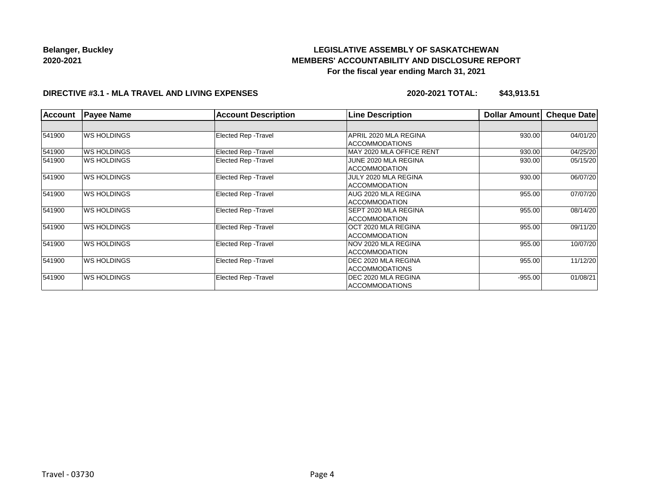# **LEGISLATIVE ASSEMBLY OF SASKATCHEWAN MEMBERS' ACCOUNTABILITY AND DISCLOSURE REPORT For the fiscal year ending March 31, 2021**

#### **DIRECTIVE #3.1 - MLA TRAVEL AND LIVING EXPENSES**

**2020-2021 TOTAL: \$43,913.51**

| <b>Account</b> | <b>Payee Name</b>  | <b>Account Description</b>  | <b>Line Description</b>     | <b>Dollar Amount</b> | <b>Cheque Date</b> |
|----------------|--------------------|-----------------------------|-----------------------------|----------------------|--------------------|
|                |                    |                             |                             |                      |                    |
| 541900         | <b>WS HOLDINGS</b> | Elected Rep - Travel        | APRIL 2020 MLA REGINA       | 930.00               | 04/01/20           |
|                |                    |                             | <b>ACCOMMODATIONS</b>       |                      |                    |
| 541900         | <b>WS HOLDINGS</b> | <b>Elected Rep - Travel</b> | MAY 2020 MLA OFFICE RENT    | 930.00               | 04/25/20           |
| 541900         | IWS HOLDINGS       | Elected Rep - Travel        | JUNE 2020 MLA REGINA        | 930.00               | 05/15/20           |
|                |                    |                             | <b>ACCOMMODATION</b>        |                      |                    |
| 541900         | <b>WS HOLDINGS</b> | <b>Elected Rep - Travel</b> | JULY 2020 MLA REGINA        | 930.00               | 06/07/20           |
|                |                    |                             | <b>ACCOMMODATION</b>        |                      |                    |
| 541900         | <b>WS HOLDINGS</b> | Elected Rep - Travel        | IAUG 2020 MLA REGINA        | 955.00               | 07/07/20           |
|                |                    |                             | <b>ACCOMMODATION</b>        |                      |                    |
| 541900         | IWS HOLDINGS       | Elected Rep - Travel        | <b>SEPT 2020 MLA REGINA</b> | 955.00               | 08/14/20           |
|                |                    |                             | <b>ACCOMMODATION</b>        |                      |                    |
| 541900         | <b>WS HOLDINGS</b> | <b>Elected Rep - Travel</b> | OCT 2020 MLA REGINA         | 955.00               | 09/11/20           |
|                |                    |                             | <b>ACCOMMODATION</b>        |                      |                    |
| 541900         | <b>WS HOLDINGS</b> | <b>Elected Rep - Travel</b> | INOV 2020 MLA REGINA        | 955.00               | 10/07/20           |
|                |                    |                             | <b>ACCOMMODATION</b>        |                      |                    |
| 541900         | <b>WS HOLDINGS</b> | Elected Rep - Travel        | DEC 2020 MLA REGINA         | 955.00               | 11/12/20           |
|                |                    |                             | <b>ACCOMMODATIONS</b>       |                      |                    |
| 541900         | <b>WS HOLDINGS</b> | <b>Elected Rep - Travel</b> | DEC 2020 MLA REGINA         | $-955.00$            | 01/08/21           |
|                |                    |                             | <b>ACCOMMODATIONS</b>       |                      |                    |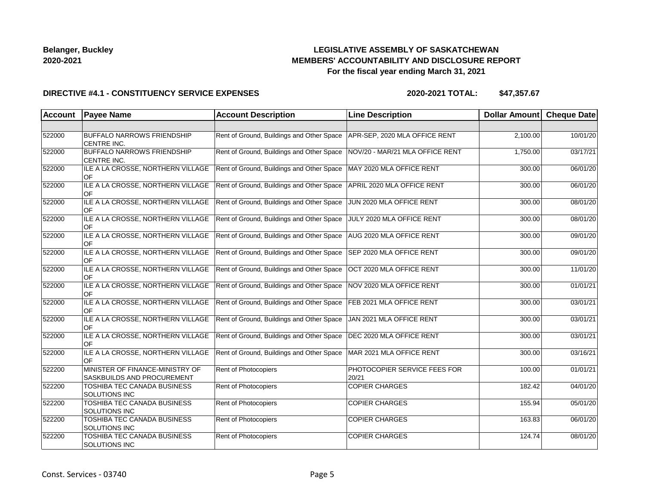# **LEGISLATIVE ASSEMBLY OF SASKATCHEWAN MEMBERS' ACCOUNTABILITY AND DISCLOSURE REPORT For the fiscal year ending March 31, 2021**

### **DIRECTIVE #4.1 - CONSTITUENCY SERVICE EXPENSES**

| <b>Account</b> | <b>Payee Name</b>                                                    | <b>Account Description</b>                | <b>Line Description</b>               | Dollar Amount | <b>Cheque Date</b> |
|----------------|----------------------------------------------------------------------|-------------------------------------------|---------------------------------------|---------------|--------------------|
|                |                                                                      |                                           |                                       |               |                    |
| 522000         | <b>BUFFALO NARROWS FRIENDSHIP</b><br><b>CENTRE INC.</b>              | Rent of Ground, Buildings and Other Space | APR-SEP, 2020 MLA OFFICE RENT         | 2,100.00      | 10/01/20           |
| 522000         | <b>BUFFALO NARROWS FRIENDSHIP</b><br><b>CENTRE INC.</b>              | Rent of Ground, Buildings and Other Space | NOV/20 - MAR/21 MLA OFFICE RENT       | 1,750.00      | 03/17/21           |
| 522000         | ILE A LA CROSSE, NORTHERN VILLAGE<br>OF                              | Rent of Ground, Buildings and Other Space | MAY 2020 MLA OFFICE RENT              | 300.00        | 06/01/20           |
| 522000         | ILE A LA CROSSE, NORTHERN VILLAGE<br><b>OF</b>                       | Rent of Ground, Buildings and Other Space | APRIL 2020 MLA OFFICE RENT            | 300.00        | 06/01/20           |
| 522000         | ILE A LA CROSSE, NORTHERN VILLAGE<br>OF                              | Rent of Ground, Buildings and Other Space | JUN 2020 MLA OFFICE RENT              | 300.00        | 08/01/20           |
| 522000         | ILE A LA CROSSE, NORTHERN VILLAGE<br>OF                              | Rent of Ground, Buildings and Other Space | JULY 2020 MLA OFFICE RENT             | 300.00        | 08/01/20           |
| 522000         | ILE A LA CROSSE, NORTHERN VILLAGE<br>OF                              | Rent of Ground, Buildings and Other Space | AUG 2020 MLA OFFICE RENT              | 300.00        | 09/01/20           |
| 522000         | ILE A LA CROSSE, NORTHERN VILLAGE<br>OF                              | Rent of Ground, Buildings and Other Space | SEP 2020 MLA OFFICE RENT              | 300.00        | 09/01/20           |
| 522000         | ILE A LA CROSSE, NORTHERN VILLAGE<br>OF                              | Rent of Ground, Buildings and Other Space | OCT 2020 MLA OFFICE RENT              | 300.00        | 11/01/20           |
| 522000         | ILE A LA CROSSE, NORTHERN VILLAGE<br><b>OF</b>                       | Rent of Ground, Buildings and Other Space | NOV 2020 MLA OFFICE RENT              | 300.00        | 01/01/21           |
| 522000         | ILE A LA CROSSE, NORTHERN VILLAGE<br><b>OF</b>                       | Rent of Ground, Buildings and Other Space | FEB 2021 MLA OFFICE RENT              | 300.00        | 03/01/21           |
| 522000         | ILE A LA CROSSE, NORTHERN VILLAGE<br>OF                              | Rent of Ground, Buildings and Other Space | JAN 2021 MLA OFFICE RENT              | 300.00        | 03/01/21           |
| 522000         | ILE A LA CROSSE, NORTHERN VILLAGE<br>OF                              | Rent of Ground, Buildings and Other Space | DEC 2020 MLA OFFICE RENT              | 300.00        | 03/01/21           |
| 522000         | ILE A LA CROSSE, NORTHERN VILLAGE<br>OF                              | Rent of Ground, Buildings and Other Space | MAR 2021 MLA OFFICE RENT              | 300.00        | 03/16/21           |
| 522200         | MINISTER OF FINANCE-MINISTRY OF<br><b>SASKBUILDS AND PROCUREMENT</b> | Rent of Photocopiers                      | PHOTOCOPIER SERVICE FEES FOR<br>20/21 | 100.00        | 01/01/21           |
| 522200         | TOSHIBA TEC CANADA BUSINESS<br>SOLUTIONS INC                         | Rent of Photocopiers                      | <b>COPIER CHARGES</b>                 | 182.42        | 04/01/20           |
| 522200         | <b>TOSHIBA TEC CANADA BUSINESS</b><br><b>SOLUTIONS INC</b>           | Rent of Photocopiers                      | <b>COPIER CHARGES</b>                 | 155.94        | 05/01/20           |
| 522200         | TOSHIBA TEC CANADA BUSINESS<br><b>SOLUTIONS INC</b>                  | Rent of Photocopiers                      | <b>COPIER CHARGES</b>                 | 163.83        | 06/01/20           |
| 522200         | TOSHIBA TEC CANADA BUSINESS<br>SOLUTIONS INC                         | Rent of Photocopiers                      | <b>COPIER CHARGES</b>                 | 124.74        | 08/01/20           |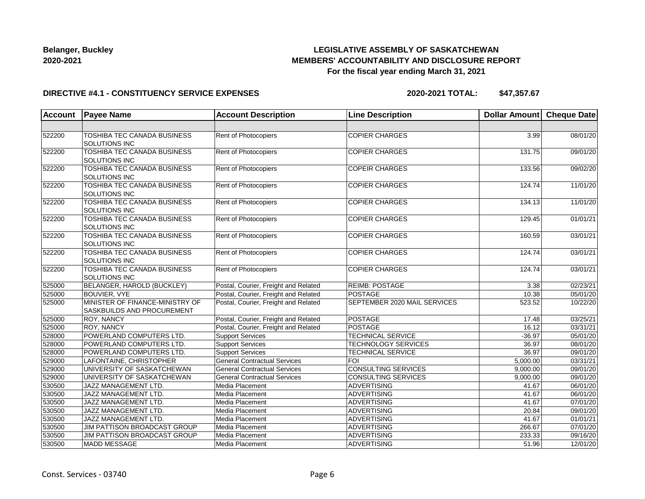# **LEGISLATIVE ASSEMBLY OF SASKATCHEWAN MEMBERS' ACCOUNTABILITY AND DISCLOSURE REPORT For the fiscal year ending March 31, 2021**

#### **DIRECTIVE #4.1 - CONSTITUENCY SERVICE EXPENSES**

| <b>Account</b> | <b>Payee Name</b>                                                    | <b>Account Description</b>           | <b>Line Description</b>      | <b>Dollar Amount</b> | <b>Cheque Date</b> |
|----------------|----------------------------------------------------------------------|--------------------------------------|------------------------------|----------------------|--------------------|
|                |                                                                      |                                      |                              |                      |                    |
| 522200         | <b>TOSHIBA TEC CANADA BUSINESS</b><br>SOLUTIONS INC                  | Rent of Photocopiers                 | <b>COPIER CHARGES</b>        | 3.99                 | 08/01/20           |
| 522200         | TOSHIBA TEC CANADA BUSINESS<br>SOLUTIONS INC                         | Rent of Photocopiers                 | <b>COPIER CHARGES</b>        | 131.75               | 09/01/20           |
| 522200         | <b>TOSHIBA TEC CANADA BUSINESS</b><br>SOLUTIONS INC                  | Rent of Photocopiers                 | <b>COPEIR CHARGES</b>        | 133.56               | 09/02/20           |
| 522200         | <b>TOSHIBA TEC CANADA BUSINESS</b><br>SOLUTIONS INC                  | Rent of Photocopiers                 | <b>COPIER CHARGES</b>        | 124.74               | 11/01/20           |
| 522200         | TOSHIBA TEC CANADA BUSINESS<br><b>SOLUTIONS INC</b>                  | Rent of Photocopiers                 | <b>COPIER CHARGES</b>        | 134.13               | 11/01/20           |
| 522200         | <b>TOSHIBA TEC CANADA BUSINESS</b><br>SOLUTIONS INC                  | Rent of Photocopiers                 | <b>COPIER CHARGES</b>        | 129.45               | 01/01/21           |
| 522200         | <b>TOSHIBA TEC CANADA BUSINESS</b><br>SOLUTIONS INC                  | Rent of Photocopiers                 | <b>COPIER CHARGES</b>        | 160.59               | 03/01/21           |
| 522200         | TOSHIBA TEC CANADA BUSINESS<br><b>SOLUTIONS INC</b>                  | Rent of Photocopiers                 | <b>COPIER CHARGES</b>        | 124.74               | 03/01/21           |
| 522200         | TOSHIBA TEC CANADA BUSINESS<br>SOLUTIONS INC                         | Rent of Photocopiers                 | <b>COPIER CHARGES</b>        | 124.74               | 03/01/21           |
| 525000         | BELANGER, HAROLD (BUCKLEY)                                           | Postal, Courier, Freight and Related | <b>REIMB: POSTAGE</b>        | 3.38                 | 02/23/21           |
| 525000         | <b>BOUVIER, VYE</b>                                                  | Postal, Courier, Freight and Related | <b>POSTAGE</b>               | 10.38                | 05/01/20           |
| 525000         | MINISTER OF FINANCE-MINISTRY OF<br><b>SASKBUILDS AND PROCUREMENT</b> | Postal, Courier, Freight and Related | SEPTEMBER 2020 MAIL SERVICES | 523.52               | 10/22/20           |
| 525000         | <b>ROY, NANCY</b>                                                    | Postal, Courier, Freight and Related | POSTAGE                      | 17.48                | 03/25/21           |
| 525000         | <b>ROY, NANCY</b>                                                    | Postal, Courier, Freight and Related | <b>POSTAGE</b>               | 16.12                | 03/31/21           |
| 528000         | POWERLAND COMPUTERS LTD.                                             | <b>Support Services</b>              | <b>TECHNICAL SERVICE</b>     | $-36.97$             | 05/01/20           |
| 528000         | POWERLAND COMPUTERS LTD.                                             | <b>Support Services</b>              | <b>TECHNOLOGY SERVICES</b>   | 36.97                | 08/01/20           |
| 528000         | POWERLAND COMPUTERS LTD.                                             | <b>Support Services</b>              | <b>TECHNICAL SERVICE</b>     | 36.97                | 09/01/20           |
| 529000         | LAFONTAINE, CHRISTOPHER                                              | <b>General Contractual Services</b>  | <b>FOI</b>                   | 5,000.00             | 03/31/21           |
| 529000         | UNIVERSITY OF SASKATCHEWAN                                           | <b>General Contractual Services</b>  | <b>CONSULTING SERVICES</b>   | 9,000.00             | 09/01/20           |
| 529000         | UNIVERSITY OF SASKATCHEWAN                                           | <b>General Contractual Services</b>  | <b>CONSULTING SERVICES</b>   | 9,000.00             | 09/01/20           |
| 530500         | JAZZ MANAGEMENT LTD.                                                 | Media Placement                      | <b>ADVERTISING</b>           | 41.67                | 06/01/20           |
| 530500         | <b>JAZZ MANAGEMENT LTD.</b>                                          | Media Placement                      | ADVERTISING                  | 41.67                | 06/01/20           |
| 530500         | JAZZ MANAGEMENT LTD.                                                 | Media Placement                      | ADVERTISING                  | 41.67                | 07/01/20           |
| 530500         | JAZZ MANAGEMENT LTD.                                                 | Media Placement                      | ADVERTISING                  | 20.84                | 09/01/20           |
| 530500         | JAZZ MANAGEMENT LTD.                                                 | Media Placement                      | <b>ADVERTISING</b>           | 41.67                | 01/01/21           |
| 530500         | JIM PATTISON BROADCAST GROUP                                         | Media Placement                      | ADVERTISING                  | 266.67               | 07/01/20           |
| 530500         | JIM PATTISON BROADCAST GROUP                                         | Media Placement                      | ADVERTISING                  | 233.33               | 09/16/20           |
| 530500         | MADD MESSAGE                                                         | Media Placement                      | ADVERTISING                  | 51.96                | 12/01/20           |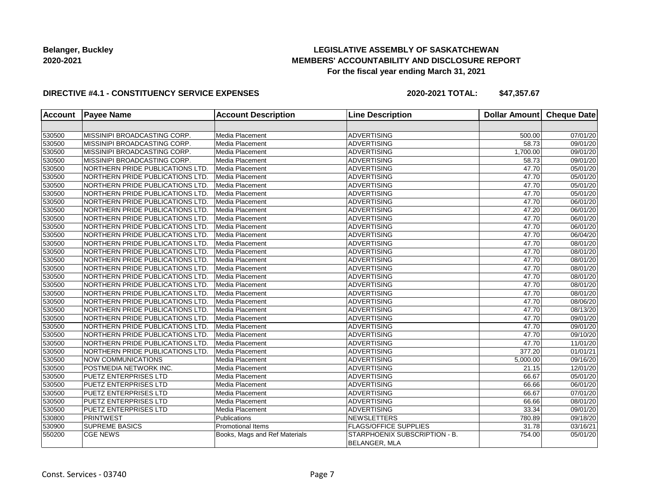## **LEGISLATIVE ASSEMBLY OF SASKATCHEWAN MEMBERS' ACCOUNTABILITY AND DISCLOSURE REPORT For the fiscal year ending March 31, 2021**

### **DIRECTIVE #4.1 - CONSTITUENCY SERVICE EXPENSES**

| <b>Account</b> | <b>Payee Name</b>                | <b>Account Description</b>    | <b>Line Description</b>                        | Dollar Amount | <b>Cheque Date</b> |
|----------------|----------------------------------|-------------------------------|------------------------------------------------|---------------|--------------------|
|                |                                  |                               |                                                |               |                    |
| 530500         | MISSINIPI BROADCASTING CORP.     | Media Placement               | <b>ADVERTISING</b>                             | 500.00        | 07/01/20           |
| 530500         | MISSINIPI BROADCASTING CORP.     | Media Placement               | <b>ADVERTISING</b>                             | 58.73         | 09/01/20           |
| 530500         | MISSINIPI BROADCASTING CORP.     | Media Placement               | ADVERTISING                                    | 1,700.00      | 09/01/20           |
| 530500         | MISSINIPI BROADCASTING CORP.     | Media Placement               | ADVERTISING                                    | 58.73         | 09/01/20           |
| 530500         | NORTHERN PRIDE PUBLICATIONS LTD. | Media Placement               | <b>ADVERTISING</b>                             | 47.70         | 05/01/20           |
| 530500         | NORTHERN PRIDE PUBLICATIONS LTD. | Media Placement               | <b>ADVERTISING</b>                             | 47.70         | 05/01/20           |
| 530500         | NORTHERN PRIDE PUBLICATIONS LTD. | Media Placement               | <b>ADVERTISING</b>                             | 47.70         | 05/01/20           |
| 530500         | NORTHERN PRIDE PUBLICATIONS LTD. | Media Placement               | <b>ADVERTISING</b>                             | 47.70         | 05/01/20           |
| 530500         | NORTHERN PRIDE PUBLICATIONS LTD. | Media Placement               | <b>ADVERTISING</b>                             | 47.70         | 06/01/20           |
| 530500         | NORTHERN PRIDE PUBLICATIONS LTD. | Media Placement               | ADVERTISING                                    | 47.20         | 06/01/20           |
| 530500         | NORTHERN PRIDE PUBLICATIONS LTD. | Media Placement               | <b>ADVERTISING</b>                             | 47.70         | 06/01/20           |
| 530500         | NORTHERN PRIDE PUBLICATIONS LTD. | Media Placement               | <b>ADVERTISING</b>                             | 47.70         | 06/01/20           |
| 530500         | NORTHERN PRIDE PUBLICATIONS LTD  | Media Placement               | <b>ADVERTISING</b>                             | 47.70         | 06/04/20           |
| 530500         | NORTHERN PRIDE PUBLICATIONS LTD. | Media Placement               | <b>ADVERTISING</b>                             | 47.70         | 08/01/20           |
| 530500         | NORTHERN PRIDE PUBLICATIONS LTD. | Media Placement               | <b>ADVERTISING</b>                             | 47.70         | 08/01/20           |
| 530500         | NORTHERN PRIDE PUBLICATIONS LTD. | Media Placement               | ADVERTISING                                    | 47.70         | 08/01/20           |
| 530500         | NORTHERN PRIDE PUBLICATIONS LTD. | Media Placement               | <b>ADVERTISING</b>                             | 47.70         | 08/01/20           |
| 530500         | NORTHERN PRIDE PUBLICATIONS LTD. | Media Placement               | <b>ADVERTISING</b>                             | 47.70         | 08/01/20           |
| 530500         | NORTHERN PRIDE PUBLICATIONS LTD. | Media Placement               | <b>ADVERTISING</b>                             | 47.70         | 08/01/20           |
| 530500         | NORTHERN PRIDE PUBLICATIONS LTD. | Media Placement               | <b>ADVERTISING</b>                             | 47.70         | 08/01/20           |
| 530500         | NORTHERN PRIDE PUBLICATIONS LTD. | Media Placement               | <b>ADVERTISING</b>                             | 47.70         | 08/06/20           |
| 530500         | NORTHERN PRIDE PUBLICATIONS LTD. | Media Placement               | <b>ADVERTISING</b>                             | 47.70         | 08/13/20           |
| 530500         | NORTHERN PRIDE PUBLICATIONS LTD. | Media Placement               | <b>ADVERTISING</b>                             | 47.70         | 09/01/20           |
| 530500         | NORTHERN PRIDE PUBLICATIONS LTD. | Media Placement               | <b>ADVERTISING</b>                             | 47.70         | 09/01/20           |
| 530500         | NORTHERN PRIDE PUBLICATIONS LTD. | Media Placement               | <b>ADVERTISING</b>                             | 47.70         | 09/10/20           |
| 530500         | NORTHERN PRIDE PUBLICATIONS LTD. | Media Placement               | <b>ADVERTISING</b>                             | 47.70         | 11/01/20           |
| 530500         | NORTHERN PRIDE PUBLICATIONS LTD. | Media Placement               | ADVERTISING                                    | 377.20        | 01/01/21           |
| 530500         | NOW COMMUNICATIONS               | Media Placement               | <b>ADVERTISING</b>                             | 5,000.00      | 09/16/20           |
| 530500         | POSTMEDIA NETWORK INC.           | Media Placement               | <b>ADVERTISING</b>                             | 21.15         | 12/01/20           |
| 530500         | <b>PUETZ ENTERPRISES LTD</b>     | Media Placement               | <b>ADVERTISING</b>                             | 66.67         | 05/01/20           |
| 530500         | <b>PUETZ ENTERPRISES LTD</b>     | Media Placement               | <b>ADVERTISING</b>                             | 66.66         | 06/01/20           |
| 530500         | <b>PUETZ ENTERPRISES LTD</b>     | Media Placement               | ADVERTISING                                    | 66.67         | 07/01/20           |
| 530500         | <b>PUETZ ENTERPRISES LTD</b>     | Media Placement               | ADVERTISING                                    | 66.66         | 08/01/20           |
| 530500         | <b>PUETZ ENTERPRISES LTD</b>     | Media Placement               | <b>ADVERTISING</b>                             | 33.34         | 09/01/20           |
| 530800         | PRINTWEST                        | Publications                  | <b>NEWSLETTERS</b>                             | 780.89        | 09/18/20           |
| 530900         | <b>SUPREME BASICS</b>            | <b>Promotional Items</b>      | <b>FLAGS/OFFICE SUPPLIES</b>                   | 31.78         | 03/16/21           |
| 550200         | <b>CGE NEWS</b>                  | Books, Mags and Ref Materials | STARPHOENIX SUBSCRIPTION - B.<br>BELANGER, MLA | 754.00        | 05/01/20           |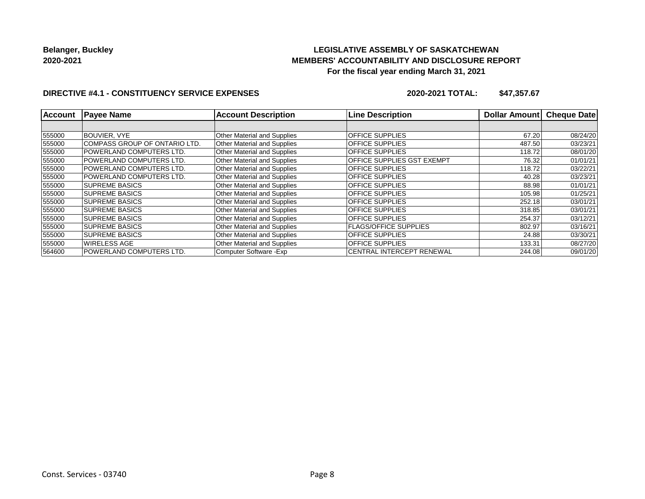## **LEGISLATIVE ASSEMBLY OF SASKATCHEWAN MEMBERS' ACCOUNTABILITY AND DISCLOSURE REPORT For the fiscal year ending March 31, 2021**

### **DIRECTIVE #4.1 - CONSTITUENCY SERVICE EXPENSES**

| <b>Account</b> | <b>Payee Name</b>             | <b>Account Description</b>         | <b>Line Description</b>          | <b>Dollar Amount</b> | <b>Cheque Date</b> |
|----------------|-------------------------------|------------------------------------|----------------------------------|----------------------|--------------------|
|                |                               |                                    |                                  |                      |                    |
| 555000         | <b>BOUVIER, VYE</b>           | Other Material and Supplies        | <b>OFFICE SUPPLIES</b>           | 67.20                | 08/24/20           |
| 555000         | COMPASS GROUP OF ONTARIO LTD. | <b>Other Material and Supplies</b> | OFFICE SUPPLIES                  | 487.50               | 03/23/21           |
| 555000         | POWERLAND COMPUTERS LTD.      | Other Material and Supplies        | OFFICE SUPPLIES                  | 118.72               | 08/01/20           |
| 555000         | POWERLAND COMPUTERS LTD.      | Other Material and Supplies        | OFFICE SUPPLIES GST EXEMPT       | 76.32                | 01/01/21           |
| 555000         | POWERLAND COMPUTERS LTD.      | <b>Other Material and Supplies</b> | <b>OFFICE SUPPLIES</b>           | 118.72               | 03/22/21           |
| 555000         | POWERLAND COMPUTERS LTD.      | <b>Other Material and Supplies</b> | <b>OFFICE SUPPLIES</b>           | 40.28                | 03/23/21           |
| 555000         | <b>SUPREME BASICS</b>         | <b>Other Material and Supplies</b> | OFFICE SUPPLIES                  | 88.98                | 01/01/21           |
| 555000         | <b>SUPREME BASICS</b>         | <b>Other Material and Supplies</b> | OFFICE SUPPLIES                  | 105.98               | 01/25/21           |
| 555000         | <b>SUPREME BASICS</b>         | Other Material and Supplies        | OFFICE SUPPLIES                  | 252.18               | 03/01/21           |
| 555000         | <b>SUPREME BASICS</b>         | Other Material and Supplies        | OFFICE SUPPLIES                  | 318.85               | 03/01/21           |
| 555000         | <b>SUPREME BASICS</b>         | Other Material and Supplies        | <b>OFFICE SUPPLIES</b>           | 254.37               | 03/12/21           |
| 555000         | <b>SUPREME BASICS</b>         | Other Material and Supplies        | <b>FLAGS/OFFICE SUPPLIES</b>     | 802.97               | 03/16/21           |
| 555000         | <b>SUPREME BASICS</b>         | Other Material and Supplies        | <b>OFFICE SUPPLIES</b>           | 24.88                | 03/30/21           |
| 555000         | <b>WIRELESS AGE</b>           | <b>Other Material and Supplies</b> | <b>OFFICE SUPPLIES</b>           | 133.31               | 08/27/20           |
| 564600         | POWERLAND COMPUTERS LTD.      | Computer Software - Exp            | <b>CENTRAL INTERCEPT RENEWAL</b> | 244.08               | 09/01/20           |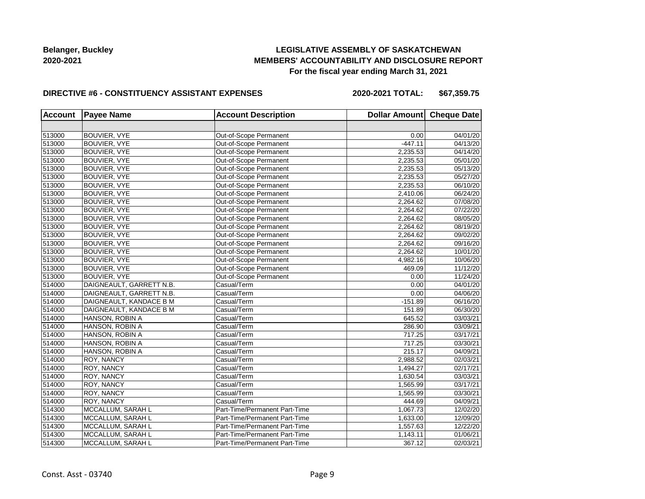## **LEGISLATIVE ASSEMBLY OF SASKATCHEWAN MEMBERS' ACCOUNTABILITY AND DISCLOSURE REPORT For the fiscal year ending March 31, 2021**

#### **DIRECTIVE #6 - CONSTITUENCY ASSISTANT EXPENSES**

| <b>Account</b> | <b>Payee Name</b>        | <b>Account Description</b>    | Dollar Amount Cheque Date |          |
|----------------|--------------------------|-------------------------------|---------------------------|----------|
|                |                          |                               |                           |          |
| 513000         | BOUVIER, VYE             | Out-of-Scope Permanent        | 0.00                      | 04/01/20 |
| 513000         | BOUVIER, VYE             | Out-of-Scope Permanent        | $-447.11$                 | 04/13/20 |
| 513000         | <b>BOUVIER, VYE</b>      | Out-of-Scope Permanent        | 2,235.53                  | 04/14/20 |
| 513000         | BOUVIER, VYE             | Out-of-Scope Permanent        | 2,235.53                  | 05/01/20 |
| 513000         | BOUVIER, VYE             | Out-of-Scope Permanent        | 2,235.53                  | 05/13/20 |
| 513000         | BOUVIER, VYE             | Out-of-Scope Permanent        | 2,235.53                  | 05/27/20 |
| 513000         | BOUVIER, VYE             | Out-of-Scope Permanent        | 2,235.53                  | 06/10/20 |
| 513000         | BOUVIER, VYE             | Out-of-Scope Permanent        | 2,410.06                  | 06/24/20 |
| 513000         | BOUVIER, VYE             | Out-of-Scope Permanent        | 2,264.62                  | 07/08/20 |
| 513000         | BOUVIER, VYE             | Out-of-Scope Permanent        | 2,264.62                  | 07/22/20 |
| 513000         | BOUVIER, VYE             | Out-of-Scope Permanent        | 2,264.62                  | 08/05/20 |
| 513000         | BOUVIER, VYE             | Out-of-Scope Permanent        | 2,264.62                  | 08/19/20 |
| 513000         | BOUVIER, VYE             | Out-of-Scope Permanent        | 2,264.62                  | 09/02/20 |
| 513000         | BOUVIER, VYE             | Out-of-Scope Permanent        | 2,264.62                  | 09/16/20 |
| 513000         | <b>BOUVIER, VYE</b>      | Out-of-Scope Permanent        | 2,264.62                  | 10/01/20 |
| 513000         | BOUVIER, VYE             | Out-of-Scope Permanent        | 4.982.16                  | 10/06/20 |
| 513000         | BOUVIER, VYE             | Out-of-Scope Permanent        | 469.09                    | 11/12/20 |
| 513000         | <b>BOUVIER, VYE</b>      | Out-of-Scope Permanent        | 0.00                      | 11/24/20 |
| 514000         | DAIGNEAULT, GARRETT N.B. | Casual/Term                   | 0.00                      | 04/01/20 |
| 514000         | DAIGNEAULT, GARRETT N.B. | Casual/Term                   | 0.00                      | 04/06/20 |
| 514000         | DAIGNEAULT, KANDACE B M  | Casual/Term                   | $-151.89$                 | 06/16/20 |
| 514000         | DAIGNEAULT, KANDACE B M  | Casual/Term                   | 151.89                    | 06/30/20 |
| 514000         | HANSON, ROBIN A          | Casual/Term                   | 645.52                    | 03/03/21 |
| 514000         | HANSON, ROBIN A          | Casual/Term                   | 286.90                    | 03/09/21 |
| 514000         | HANSON, ROBIN A          | Casual/Term                   | 717.25                    | 03/17/21 |
| 514000         | HANSON, ROBIN A          | Casual/Term                   | 717.25                    | 03/30/21 |
| 514000         | HANSON, ROBIN A          | Casual/Term                   | 215.17                    | 04/09/21 |
| 514000         | ROY, NANCY               | Casual/Term                   | 2,988.52                  | 02/03/21 |
| 514000         | ROY, NANCY               | Casual/Term                   | 1,494.27                  | 02/17/21 |
| 514000         | ROY, NANCY               | Casual/Term                   | 1,630.54                  | 03/03/21 |
| 514000         | ROY, NANCY               | Casual/Term                   | 1,565.99                  | 03/17/21 |
| 514000         | ROY, NANCY               | Casual/Term                   | 1,565.99                  | 03/30/21 |
| 514000         | <b>ROY, NANCY</b>        | Casual/Term                   | 444.69                    | 04/09/21 |
| 514300         | MCCALLUM, SARAH L        | Part-Time/Permanent Part-Time | 1,067.73                  | 12/02/20 |
| 514300         | MCCALLUM, SARAH L        | Part-Time/Permanent Part-Time | 1,633.00                  | 12/09/20 |
| 514300         | MCCALLUM, SARAH L        | Part-Time/Permanent Part-Time | 1,557.63                  | 12/22/20 |
| 514300         | MCCALLUM, SARAH L        | Part-Time/Permanent Part-Time | 1,143.11                  | 01/06/21 |
| 514300         | MCCALLUM, SARAH L        | Part-Time/Permanent Part-Time | 367.12                    | 02/03/21 |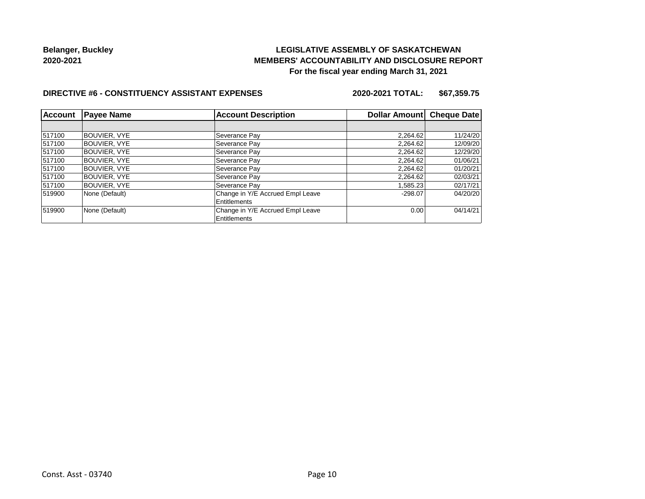## **LEGISLATIVE ASSEMBLY OF SASKATCHEWAN MEMBERS' ACCOUNTABILITY AND DISCLOSURE REPORT For the fiscal year ending March 31, 2021**

#### **DIRECTIVE #6 - CONSTITUENCY ASSISTANT EXPENSES**

| <b>Account</b> | <b>Payee Name</b><br><b>Account Description</b> |                                  | Dollar Amount Cheque Date |          |
|----------------|-------------------------------------------------|----------------------------------|---------------------------|----------|
|                |                                                 |                                  |                           |          |
| 517100         | BOUVIER, VYE                                    | Severance Pay                    | 2,264.62                  | 11/24/20 |
| 517100         | BOUVIER, VYE                                    | Severance Pay                    | 2,264.62                  | 12/09/20 |
| 517100         | <b>BOUVIER, VYE</b>                             | Severance Pay                    | 2,264.62                  | 12/29/20 |
| 517100         | BOUVIER, VYE                                    | Severance Pay                    | 2,264.62                  | 01/06/21 |
| 517100         | BOUVIER, VYE                                    | Severance Pay                    | 2,264.62                  | 01/20/21 |
| 517100         | <b>BOUVIER, VYE</b>                             | Severance Pay                    | 2,264.62                  | 02/03/21 |
| 517100         | BOUVIER, VYE                                    | Severance Pay                    | 1.585.23                  | 02/17/21 |
| 519900         | None (Default)                                  | Change in Y/E Accrued Empl Leave | $-298.07$                 | 04/20/20 |
|                |                                                 | Entitlements                     |                           |          |
| 519900         | None (Default)                                  | Change in Y/E Accrued Empl Leave | 0.00                      | 04/14/21 |
|                |                                                 | Entitlements                     |                           |          |